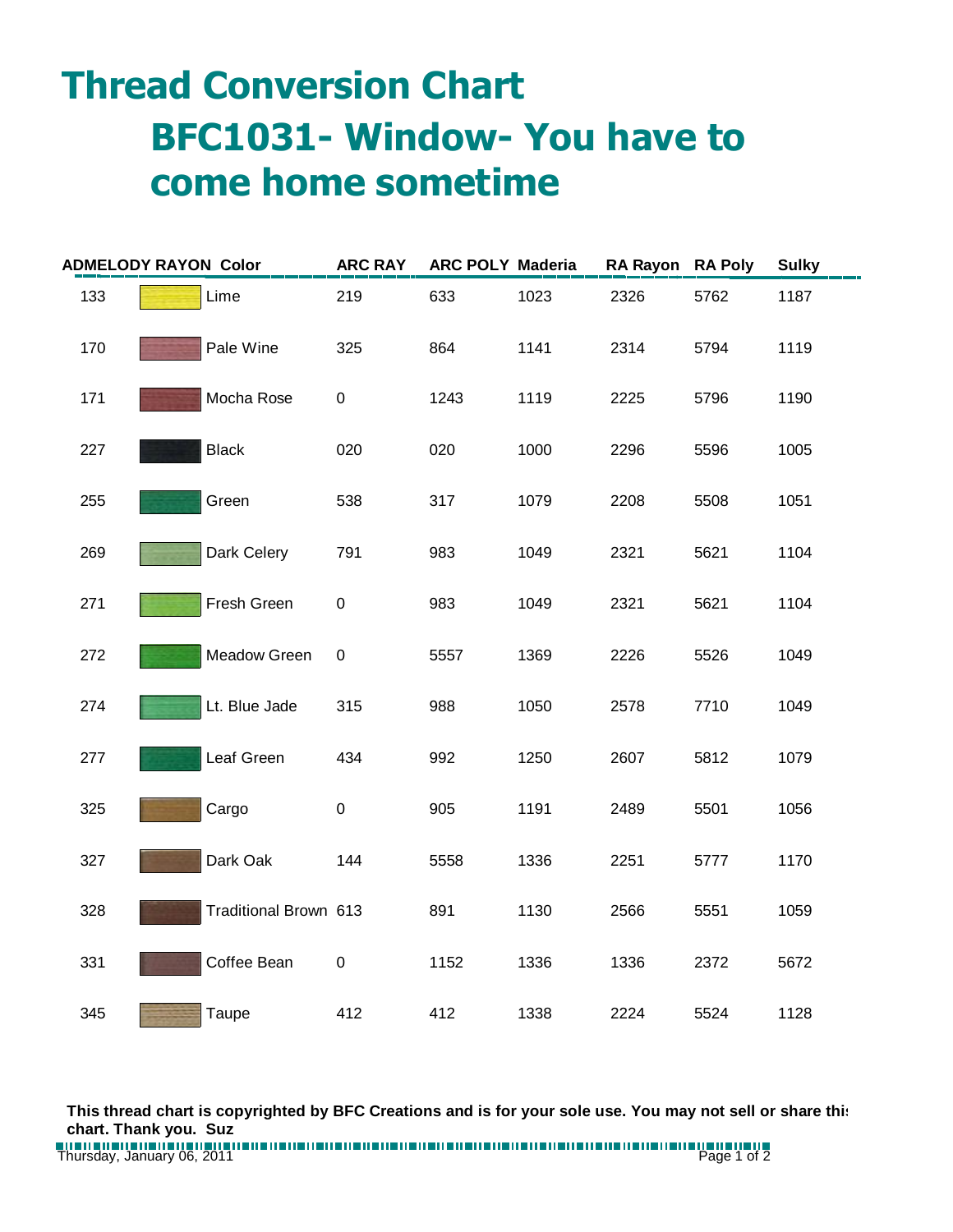## **Thread Conversion Chart BFC1031- Window- You have to come home sometime**

| <b>ADMELODY RAYON Color</b> |  |                       | <b>ARC RAY</b> | <b>ARC POLY Maderia</b> |      | <b>RA Rayon</b> | <b>RA Poly</b> | <b>Sulky</b> |
|-----------------------------|--|-----------------------|----------------|-------------------------|------|-----------------|----------------|--------------|
| 133                         |  | Lime                  | 219            | 633                     | 1023 | 2326            | 5762           | 1187         |
| 170                         |  | Pale Wine             | 325            | 864                     | 1141 | 2314            | 5794           | 1119         |
| 171                         |  | Mocha Rose            | 0              | 1243                    | 1119 | 2225            | 5796           | 1190         |
| 227                         |  | <b>Black</b>          | 020            | 020                     | 1000 | 2296            | 5596           | 1005         |
| 255                         |  | Green                 | 538            | 317                     | 1079 | 2208            | 5508           | 1051         |
| 269                         |  | Dark Celery           | 791            | 983                     | 1049 | 2321            | 5621           | 1104         |
| 271                         |  | Fresh Green           | $\pmb{0}$      | 983                     | 1049 | 2321            | 5621           | 1104         |
| 272                         |  | Meadow Green          | $\pmb{0}$      | 5557                    | 1369 | 2226            | 5526           | 1049         |
| 274                         |  | Lt. Blue Jade         | 315            | 988                     | 1050 | 2578            | 7710           | 1049         |
| 277                         |  | Leaf Green            | 434            | 992                     | 1250 | 2607            | 5812           | 1079         |
| 325                         |  | Cargo                 | $\pmb{0}$      | 905                     | 1191 | 2489            | 5501           | 1056         |
| 327                         |  | Dark Oak              | 144            | 5558                    | 1336 | 2251            | 5777           | 1170         |
| 328                         |  | Traditional Brown 613 |                | 891                     | 1130 | 2566            | 5551           | 1059         |
| 331                         |  | Coffee Bean           | $\pmb{0}$      | 1152                    | 1336 | 1336            | 2372           | 5672         |
| 345                         |  | Taupe                 | 412            | 412                     | 1338 | 2224            | 5524           | 1128         |

**This thread chart is copyrighted by BFC Creations and is for your sole use. You may not sell or share this chart. Thank you. Suz**